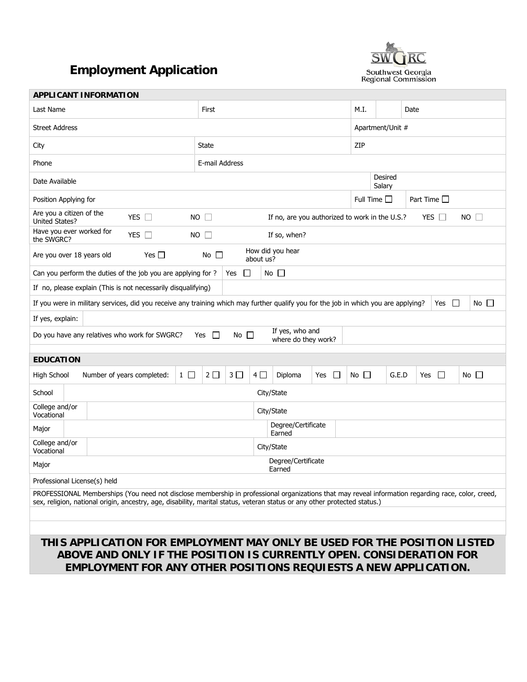# **Employment Application**



| <b>APPLICANT INFORMATION</b>                                                                                                                                                                                                                                                    |                                                                                            |                                        |               |                  |                   |                     |               |              |
|---------------------------------------------------------------------------------------------------------------------------------------------------------------------------------------------------------------------------------------------------------------------------------|--------------------------------------------------------------------------------------------|----------------------------------------|---------------|------------------|-------------------|---------------------|---------------|--------------|
| Last Name                                                                                                                                                                                                                                                                       | First                                                                                      |                                        |               | M.I.             |                   | Date                |               |              |
| <b>Street Address</b>                                                                                                                                                                                                                                                           |                                                                                            |                                        |               | Apartment/Unit # |                   |                     |               |              |
| City                                                                                                                                                                                                                                                                            | <b>State</b>                                                                               |                                        |               | ZIP              |                   |                     |               |              |
| Phone                                                                                                                                                                                                                                                                           | E-mail Address                                                                             |                                        |               |                  |                   |                     |               |              |
| Date Available                                                                                                                                                                                                                                                                  |                                                                                            |                                        |               |                  | Desired<br>Salary |                     |               |              |
| Position Applying for                                                                                                                                                                                                                                                           |                                                                                            |                                        |               | Full Time $\Box$ |                   | Part Time $\square$ |               |              |
| Are you a citizen of the<br>YES $\Box$<br>United States?                                                                                                                                                                                                                        | $NO$ $\Box$<br>$NO$ $\Box$<br>If no, are you authorized to work in the U.S.?<br>YES $\Box$ |                                        |               |                  |                   |                     |               |              |
| Have you ever worked for<br>YES $\square$<br>the SWGRC?                                                                                                                                                                                                                         | <b>NO</b><br>$\Box$                                                                        | If so, when?                           |               |                  |                   |                     |               |              |
| How did you hear<br>Yes $\Box$<br>No $\square$<br>Are you over 18 years old<br>about us?                                                                                                                                                                                        |                                                                                            |                                        |               |                  |                   |                     |               |              |
| Can you perform the duties of the job you are applying for ?                                                                                                                                                                                                                    | ப<br>Yes                                                                                   | No $\Box$                              |               |                  |                   |                     |               |              |
| If no, please explain (This is not necessarily disqualifying)                                                                                                                                                                                                                   |                                                                                            |                                        |               |                  |                   |                     |               |              |
| If you were in military services, did you receive any training which may further qualify you for the job in which you are applying?                                                                                                                                             |                                                                                            |                                        |               |                  |                   |                     | $\Box$<br>Yes | No $\Box$    |
| If yes, explain:                                                                                                                                                                                                                                                                |                                                                                            |                                        |               |                  |                   |                     |               |              |
| Do you have any relatives who work for SWGRC?                                                                                                                                                                                                                                   | Yes $\Box$<br>No $\square$                                                                 | If yes, who and<br>where do they work? |               |                  |                   |                     |               |              |
| <b>EDUCATION</b>                                                                                                                                                                                                                                                                |                                                                                            |                                        |               |                  |                   |                     |               |              |
| High School<br>Number of years completed:<br>$1 \Box$                                                                                                                                                                                                                           | $2\square$<br>3 <sup>2</sup>                                                               | $4\square$<br>Diploma                  | $\Box$<br>Yes | $No$ $\Box$      | G.E.D             | Yes                 | □             | No $\square$ |
| School                                                                                                                                                                                                                                                                          |                                                                                            | City/State                             |               |                  |                   |                     |               |              |
| College and/or<br>Vocational                                                                                                                                                                                                                                                    |                                                                                            | City/State                             |               |                  |                   |                     |               |              |
| Major                                                                                                                                                                                                                                                                           | Degree/Certificate<br>Earned                                                               |                                        |               |                  |                   |                     |               |              |
| College and/or<br>City/State<br>Vocational                                                                                                                                                                                                                                      |                                                                                            |                                        |               |                  |                   |                     |               |              |
| Degree/Certificate<br>Major<br>Earned                                                                                                                                                                                                                                           |                                                                                            |                                        |               |                  |                   |                     |               |              |
| Professional License(s) held                                                                                                                                                                                                                                                    |                                                                                            |                                        |               |                  |                   |                     |               |              |
| PROFESSIONAL Memberships (You need not disclose membership in professional organizations that may reveal information regarding race, color, creed,<br>sex, religion, national origin, ancestry, age, disability, marital status, veteran status or any other protected status.) |                                                                                            |                                        |               |                  |                   |                     |               |              |
|                                                                                                                                                                                                                                                                                 |                                                                                            |                                        |               |                  |                   |                     |               |              |
|                                                                                                                                                                                                                                                                                 |                                                                                            |                                        |               |                  |                   |                     |               |              |
| THIS APPLICATION FOR EMPLOYMENT MAY ONLY BE USED FOR THE POSITION LISTED                                                                                                                                                                                                        |                                                                                            |                                        |               |                  |                   |                     |               |              |

## **ABOVE AND ONLY IF THE POSITION IS CURRENTLY OPEN. CONSIDERATION FOR EMPLOYMENT FOR ANY OTHER POSITIONS REQUIESTS A NEW APPLICATION.**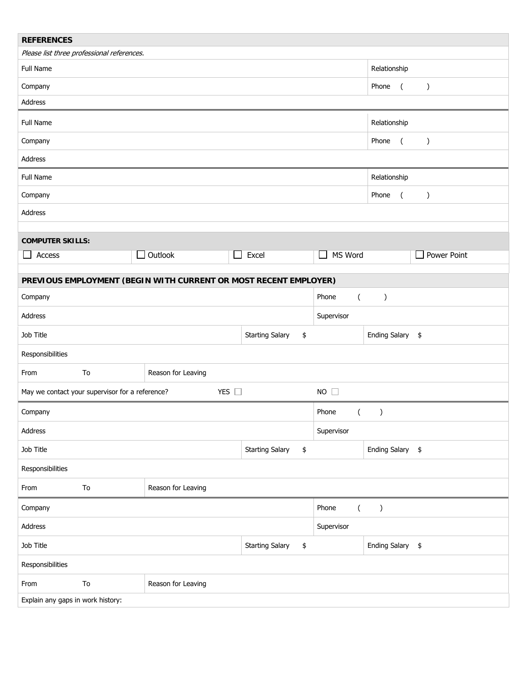| <b>REFERENCES</b>                                                |                                                                                 |                              |                           |                           |                  |  |
|------------------------------------------------------------------|---------------------------------------------------------------------------------|------------------------------|---------------------------|---------------------------|------------------|--|
| Please list three professional references.                       |                                                                                 |                              |                           |                           |                  |  |
| Full Name                                                        |                                                                                 |                              |                           | Relationship              |                  |  |
| Company                                                          |                                                                                 |                              | Phone<br>$\overline{(\ }$ | $\lambda$                 |                  |  |
| Address                                                          |                                                                                 |                              |                           |                           |                  |  |
| Full Name                                                        |                                                                                 |                              |                           | Relationship              |                  |  |
| Company                                                          |                                                                                 |                              |                           | Phone<br>$\overline{(\ }$ | $\lambda$        |  |
| Address                                                          |                                                                                 |                              |                           |                           |                  |  |
| Full Name                                                        |                                                                                 |                              |                           | Relationship              |                  |  |
| Company                                                          |                                                                                 |                              |                           | Phone<br>$\overline{(\ }$ | $\left( \right)$ |  |
| Address                                                          |                                                                                 |                              |                           |                           |                  |  |
| <b>COMPUTER SKILLS:</b>                                          |                                                                                 |                              |                           |                           |                  |  |
| Access<br>$\Box$                                                 | $\Box$ Outlook<br>$\sim$                                                        | Excel                        | MS Word<br>$\mathbf{I}$   |                           | Power Point      |  |
|                                                                  |                                                                                 |                              |                           |                           |                  |  |
| PREVIOUS EMPLOYMENT (BEGIN WITH CURRENT OR MOST RECENT EMPLOYER) |                                                                                 |                              |                           |                           |                  |  |
| Company                                                          |                                                                                 |                              | Phone<br>$\overline{(\ }$ | $\lambda$                 |                  |  |
| Address                                                          |                                                                                 |                              | Supervisor                |                           |                  |  |
| Job Title                                                        | <b>Starting Salary</b><br>\$                                                    |                              |                           | Ending Salary \$          |                  |  |
| Responsibilities                                                 |                                                                                 |                              |                           |                           |                  |  |
| To<br>From                                                       | Reason for Leaving                                                              |                              |                           |                           |                  |  |
|                                                                  | YES $\square$<br>$NO$ $\Box$<br>May we contact your supervisor for a reference? |                              |                           |                           |                  |  |
| Company                                                          | Phone<br>(                                                                      |                              |                           | $\mathcal{C}$             |                  |  |
| <b>Address</b>                                                   |                                                                                 |                              |                           | Supervisor                |                  |  |
| Job Title                                                        |                                                                                 | <b>Starting Salary</b><br>\$ | Ending Salary \$          |                           |                  |  |
| Responsibilities                                                 |                                                                                 |                              |                           |                           |                  |  |
| To<br>From                                                       | Reason for Leaving                                                              |                              |                           |                           |                  |  |
| Phone<br>Company<br>$\overline{(\ }$                             |                                                                                 |                              | $\mathcal{C}$             |                           |                  |  |
| Address                                                          |                                                                                 |                              | Supervisor                |                           |                  |  |
| Job Title<br><b>Starting Salary</b>                              |                                                                                 | \$                           |                           | Ending Salary \$          |                  |  |
| Responsibilities                                                 |                                                                                 |                              |                           |                           |                  |  |
| ${\sf To}$<br>From                                               | Reason for Leaving                                                              |                              |                           |                           |                  |  |
| Explain any gaps in work history:                                |                                                                                 |                              |                           |                           |                  |  |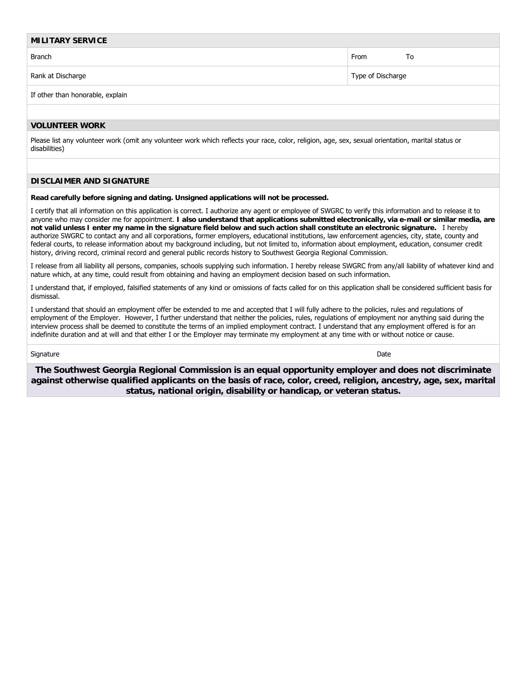| <b>MILITARY SERVICE</b>          |                   |  |  |  |  |
|----------------------------------|-------------------|--|--|--|--|
| <b>Branch</b>                    | To<br>From        |  |  |  |  |
| Rank at Discharge                | Type of Discharge |  |  |  |  |
| If other than honorable, explain |                   |  |  |  |  |
|                                  |                   |  |  |  |  |

### **VOLUNTEER WORK**

Please list any volunteer work (omit any volunteer work which reflects your race, color, religion, age, sex, sexual orientation, marital status or disabilities)

#### **DISCLAIMER AND SIGNATURE**

**Read carefully before signing and dating. Unsigned applications will not be processed.** 

I certify that all information on this application is correct. I authorize any agent or employee of SWGRC to verify this information and to release it to anyone who may consider me for appointment. **I also understand that applications submitted electronically, via e-mail or similar media, are not valid unless I enter my name in the signature field below and such action shall constitute an electronic signature.** I hereby authorize SWGRC to contact any and all corporations, former employers, educational institutions, law enforcement agencies, city, state, county and federal courts, to release information about my background including, but not limited to, information about employment, education, consumer credit history, driving record, criminal record and general public records history to Southwest Georgia Regional Commission.

I release from all liability all persons, companies, schools supplying such information. I hereby release SWGRC from any/all liability of whatever kind and nature which, at any time, could result from obtaining and having an employment decision based on such information.

I understand that, if employed, falsified statements of any kind or omissions of facts called for on this application shall be considered sufficient basis for dismissal.

I understand that should an employment offer be extended to me and accepted that I will fully adhere to the policies, rules and regulations of employment of the Employer. However, I further understand that neither the policies, rules, regulations of employment nor anything said during the interview process shall be deemed to constitute the terms of an implied employment contract. I understand that any employment offered is for an indefinite duration and at will and that either I or the Employer may terminate my employment at any time with or without notice or cause.

#### signature that the contract of the contract of the contract of the contract of the contract of the contract of the contract of the contract of the contract of the contract of the contract of the contract of the contract of

**The Southwest Georgia Regional Commission is an equal opportunity employer and does not discriminate against otherwise qualified applicants on the basis of race, color, creed, religion, ancestry, age, sex, marital status, national origin, disability or handicap, or veteran status.**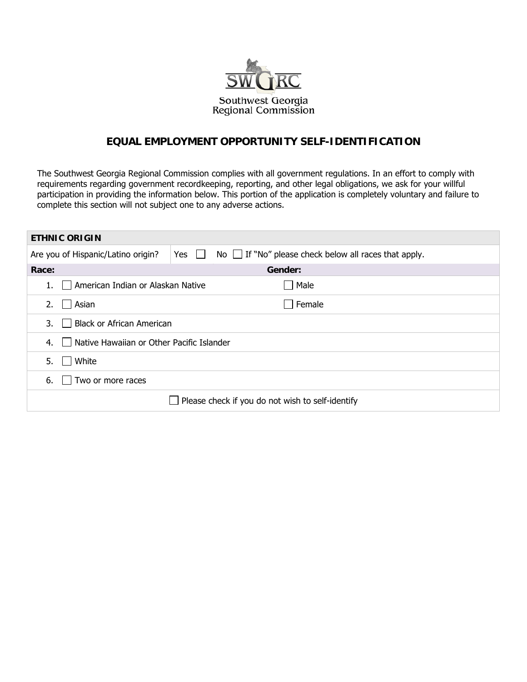

## **EQUAL EMPLOYMENT OPPORTUNITY SELF-IDENTIFICATION**

The Southwest Georgia Regional Commission complies with all government regulations. In an effort to comply with requirements regarding government recordkeeping, reporting, and other legal obligations, we ask for your willful participation in providing the information below. This portion of the application is completely voluntary and failure to complete this section will not subject one to any adverse actions.

| <b>ETHNIC ORIGIN</b>                                       |                                                                          |  |  |  |  |
|------------------------------------------------------------|--------------------------------------------------------------------------|--|--|--|--|
| Are you of Hispanic/Latino origin?                         | No $\Box$ If "No" please check below all races that apply.<br>Yes $\Box$ |  |  |  |  |
| Race:                                                      | Gender:                                                                  |  |  |  |  |
| □ American Indian or Alaskan Native                        | Male                                                                     |  |  |  |  |
| Asian<br>2.                                                | Female<br>$\blacksquare$                                                 |  |  |  |  |
| <b>Black or African American</b><br>3.                     |                                                                          |  |  |  |  |
| Native Hawaiian or Other Pacific Islander<br>4.<br>$\perp$ |                                                                          |  |  |  |  |
| White<br>5.                                                |                                                                          |  |  |  |  |
| Two or more races<br>6.                                    |                                                                          |  |  |  |  |
| Please check if you do not wish to self-identify           |                                                                          |  |  |  |  |